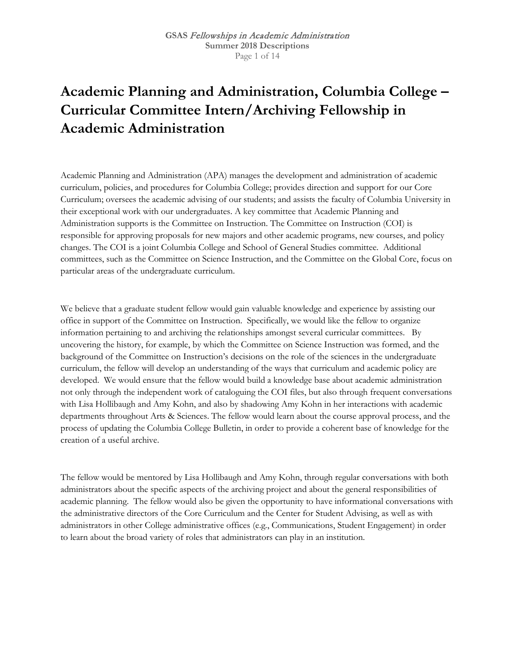## **Academic Planning and Administration, Columbia College – Curricular Committee Intern/Archiving Fellowship in Academic Administration**

Academic Planning and Administration (APA) manages the development and administration of academic curriculum, policies, and procedures for Columbia College; provides direction and support for our Core Curriculum; oversees the academic advising of our students; and assists the faculty of Columbia University in their exceptional work with our undergraduates. A key committee that Academic Planning and Administration supports is the Committee on Instruction. The Committee on Instruction (COI) is responsible for approving proposals for new majors and other academic programs, new courses, and policy changes. The COI is a joint Columbia College and School of General Studies committee. Additional committees, such as the Committee on Science Instruction, and the Committee on the Global Core, focus on particular areas of the undergraduate curriculum.

We believe that a graduate student fellow would gain valuable knowledge and experience by assisting our office in support of the Committee on Instruction. Specifically, we would like the fellow to organize information pertaining to and archiving the relationships amongst several curricular committees. By uncovering the history, for example, by which the Committee on Science Instruction was formed, and the background of the Committee on Instruction's decisions on the role of the sciences in the undergraduate curriculum, the fellow will develop an understanding of the ways that curriculum and academic policy are developed. We would ensure that the fellow would build a knowledge base about academic administration not only through the independent work of cataloguing the COI files, but also through frequent conversations with Lisa Hollibaugh and Amy Kohn, and also by shadowing Amy Kohn in her interactions with academic departments throughout Arts & Sciences. The fellow would learn about the course approval process, and the process of updating the Columbia College Bulletin, in order to provide a coherent base of knowledge for the creation of a useful archive.

The fellow would be mentored by Lisa Hollibaugh and Amy Kohn, through regular conversations with both administrators about the specific aspects of the archiving project and about the general responsibilities of academic planning. The fellow would also be given the opportunity to have informational conversations with the administrative directors of the Core Curriculum and the Center for Student Advising, as well as with administrators in other College administrative offices (e.g., Communications, Student Engagement) in order to learn about the broad variety of roles that administrators can play in an institution.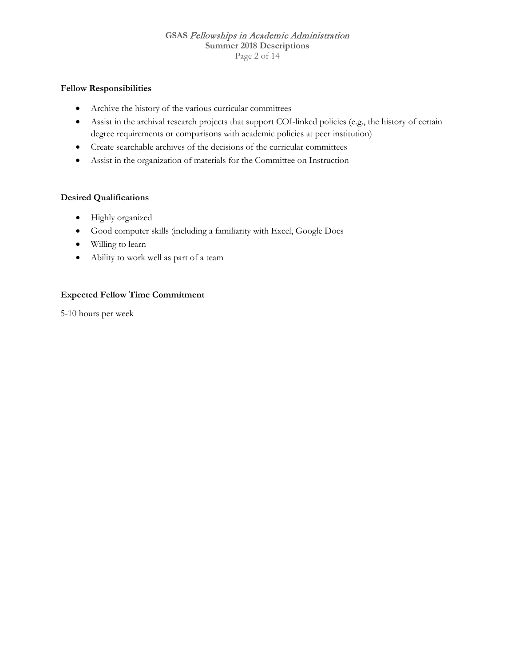#### **GSAS** Fellowships in Academic Administration **Summer 2018 Descriptions** Page 2 of 14

#### **Fellow Responsibilities**

- Archive the history of the various curricular committees
- Assist in the archival research projects that support COI-linked policies (e.g., the history of certain degree requirements or comparisons with academic policies at peer institution)
- Create searchable archives of the decisions of the curricular committees
- Assist in the organization of materials for the Committee on Instruction

#### **Desired Qualifications**

- Highly organized
- Good computer skills (including a familiarity with Excel, Google Docs
- Willing to learn
- Ability to work well as part of a team

#### **Expected Fellow Time Commitment**

5-10 hours per week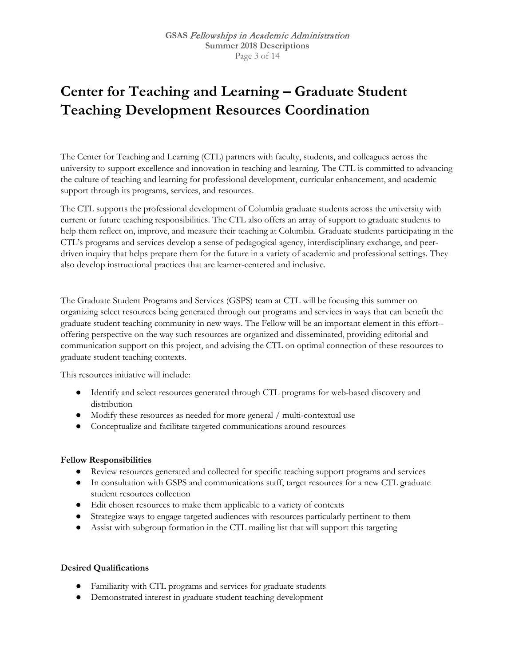## **Center for Teaching and Learning – Graduate Student Teaching Development Resources Coordination**

The Center for Teaching and Learning (CTL) partners with faculty, students, and colleagues across the university to support excellence and innovation in teaching and learning. The CTL is committed to advancing the culture of teaching and learning for professional development, curricular enhancement, and academic support through its programs, services, and resources.

The CTL supports the professional development of Columbia graduate students across the university with current or future teaching responsibilities. The CTL also offers an array of support to graduate students to help them reflect on, improve, and measure their teaching at Columbia. Graduate students participating in the CTL's programs and services develop a sense of pedagogical agency, interdisciplinary exchange, and peerdriven inquiry that helps prepare them for the future in a variety of academic and professional settings. They also develop instructional practices that are learner-centered and inclusive.

The Graduate Student Programs and Services (GSPS) team at CTL will be focusing this summer on organizing select resources being generated through our programs and services in ways that can benefit the graduate student teaching community in new ways. The Fellow will be an important element in this effort- offering perspective on the way such resources are organized and disseminated, providing editorial and communication support on this project, and advising the CTL on optimal connection of these resources to graduate student teaching contexts.

This resources initiative will include:

- Identify and select resources generated through CTL programs for web-based discovery and distribution
- Modify these resources as needed for more general / multi-contextual use
- Conceptualize and facilitate targeted communications around resources

#### **Fellow Responsibilities**

- Review resources generated and collected for specific teaching support programs and services
- In consultation with GSPS and communications staff, target resources for a new CTL graduate student resources collection
- Edit chosen resources to make them applicable to a variety of contexts
- Strategize ways to engage targeted audiences with resources particularly pertinent to them
- Assist with subgroup formation in the CTL mailing list that will support this targeting

- Familiarity with CTL programs and services for graduate students
- Demonstrated interest in graduate student teaching development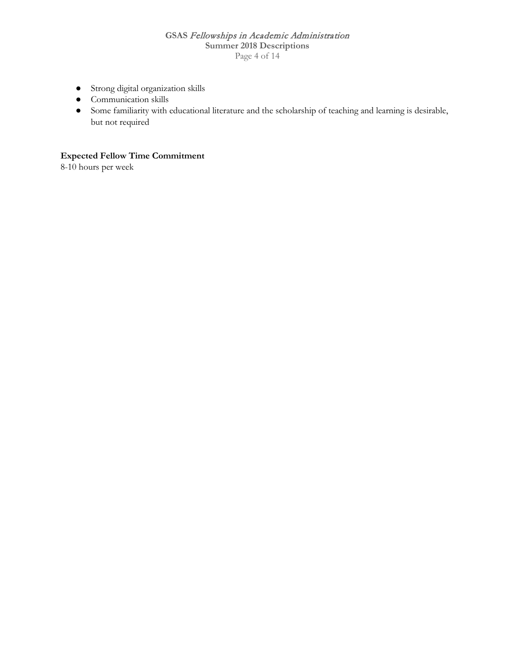#### **GSAS** Fellowships in Academic Administration **Summer 2018 Descriptions** Page 4 of 14

- Strong digital organization skills
- Communication skills
- Some familiarity with educational literature and the scholarship of teaching and learning is desirable, but not required

### **Expected Fellow Time Commitment**

8-10 hours per week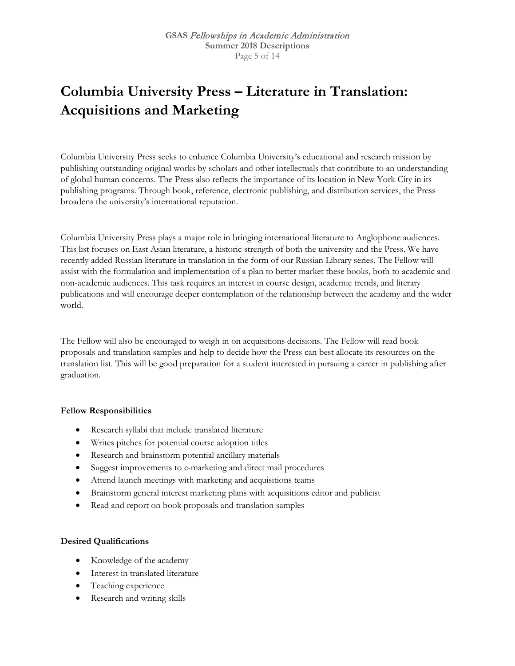# **Columbia University Press – Literature in Translation: Acquisitions and Marketing**

Columbia University Press seeks to enhance Columbia University's educational and research mission by publishing outstanding original works by scholars and other intellectuals that contribute to an understanding of global human concerns. The Press also reflects the importance of its location in New York City in its publishing programs. Through book, reference, electronic publishing, and distribution services, the Press broadens the university's international reputation.

Columbia University Press plays a major role in bringing international literature to Anglophone audiences. This list focuses on East Asian literature, a historic strength of both the university and the Press. We have recently added Russian literature in translation in the form of our Russian Library series. The Fellow will assist with the formulation and implementation of a plan to better market these books, both to academic and non-academic audiences. This task requires an interest in course design, academic trends, and literary publications and will encourage deeper contemplation of the relationship between the academy and the wider world.

The Fellow will also be encouraged to weigh in on acquisitions decisions. The Fellow will read book proposals and translation samples and help to decide how the Press can best allocate its resources on the translation list. This will be good preparation for a student interested in pursuing a career in publishing after graduation.

#### **Fellow Responsibilities**

- Research syllabi that include translated literature
- Writes pitches for potential course adoption titles
- Research and brainstorm potential ancillary materials
- Suggest improvements to e-marketing and direct mail procedures
- Attend launch meetings with marketing and acquisitions teams
- Brainstorm general interest marketing plans with acquisitions editor and publicist
- Read and report on book proposals and translation samples

- Knowledge of the academy
- Interest in translated literature
- Teaching experience
- Research and writing skills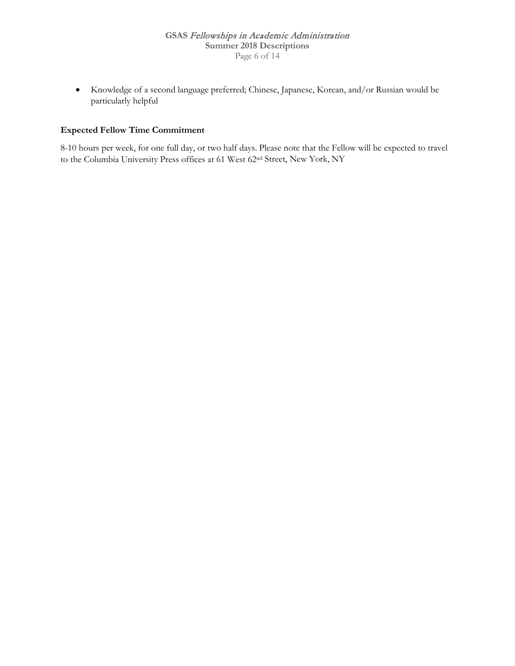• Knowledge of a second language preferred; Chinese, Japanese, Korean, and/or Russian would be particularly helpful

### **Expected Fellow Time Commitment**

8-10 hours per week, for one full day, or two half days. Please note that the Fellow will be expected to travel to the Columbia University Press offices at 61 West 62nd Street, New York, NY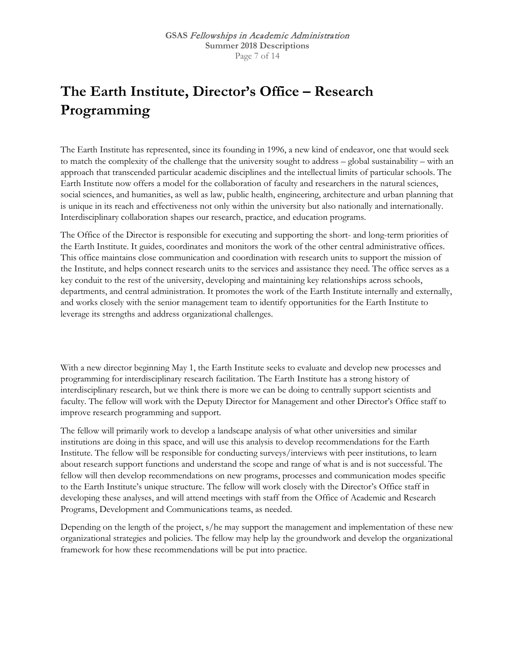# **The Earth Institute, Director's Office – Research Programming**

The Earth Institute has represented, since its founding in 1996, a new kind of endeavor, one that would seek to match the complexity of the challenge that the university sought to address – global sustainability – with an approach that transcended particular academic disciplines and the intellectual limits of particular schools. The Earth Institute now offers a model for the collaboration of faculty and researchers in the natural sciences, social sciences, and humanities, as well as law, public health, engineering, architecture and urban planning that is unique in its reach and effectiveness not only within the university but also nationally and internationally. Interdisciplinary collaboration shapes our research, practice, and education programs.

The Office of the Director is responsible for executing and supporting the short- and long-term priorities of the Earth Institute. It guides, coordinates and monitors the work of the other central administrative offices. This office maintains close communication and coordination with research units to support the mission of the Institute, and helps connect research units to the services and assistance they need. The office serves as a key conduit to the rest of the university, developing and maintaining key relationships across schools, departments, and central administration. It promotes the work of the Earth Institute internally and externally, and works closely with the senior management team to identify opportunities for the Earth Institute to leverage its strengths and address organizational challenges.

With a new director beginning May 1, the Earth Institute seeks to evaluate and develop new processes and programming for interdisciplinary research facilitation. The Earth Institute has a strong history of interdisciplinary research, but we think there is more we can be doing to centrally support scientists and faculty. The fellow will work with the Deputy Director for Management and other Director's Office staff to improve research programming and support.

The fellow will primarily work to develop a landscape analysis of what other universities and similar institutions are doing in this space, and will use this analysis to develop recommendations for the Earth Institute. The fellow will be responsible for conducting surveys/interviews with peer institutions, to learn about research support functions and understand the scope and range of what is and is not successful. The fellow will then develop recommendations on new programs, processes and communication modes specific to the Earth Institute's unique structure. The fellow will work closely with the Director's Office staff in developing these analyses, and will attend meetings with staff from the Office of Academic and Research Programs, Development and Communications teams, as needed.

Depending on the length of the project, s/he may support the management and implementation of these new organizational strategies and policies. The fellow may help lay the groundwork and develop the organizational framework for how these recommendations will be put into practice.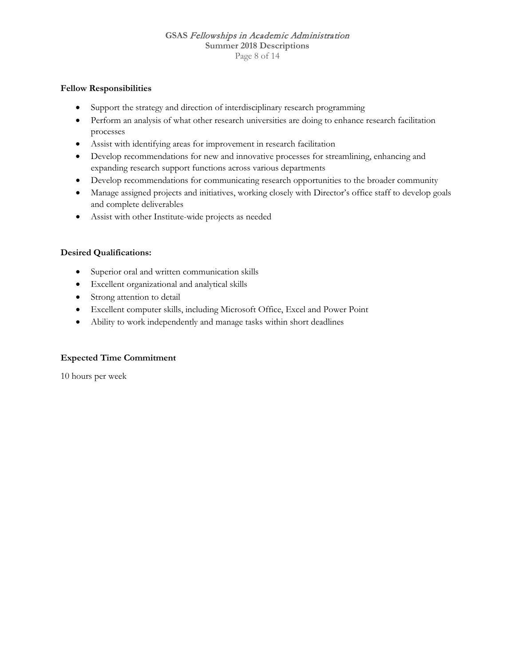#### **GSAS** Fellowships in Academic Administration **Summer 2018 Descriptions** Page 8 of 14

#### **Fellow Responsibilities**

- Support the strategy and direction of interdisciplinary research programming
- Perform an analysis of what other research universities are doing to enhance research facilitation processes
- Assist with identifying areas for improvement in research facilitation
- Develop recommendations for new and innovative processes for streamlining, enhancing and expanding research support functions across various departments
- Develop recommendations for communicating research opportunities to the broader community
- Manage assigned projects and initiatives, working closely with Director's office staff to develop goals and complete deliverables
- Assist with other Institute-wide projects as needed

#### **Desired Qualifications:**

- Superior oral and written communication skills
- Excellent organizational and analytical skills
- Strong attention to detail
- Excellent computer skills, including Microsoft Office, Excel and Power Point
- Ability to work independently and manage tasks within short deadlines

#### **Expected Time Commitment**

10 hours per week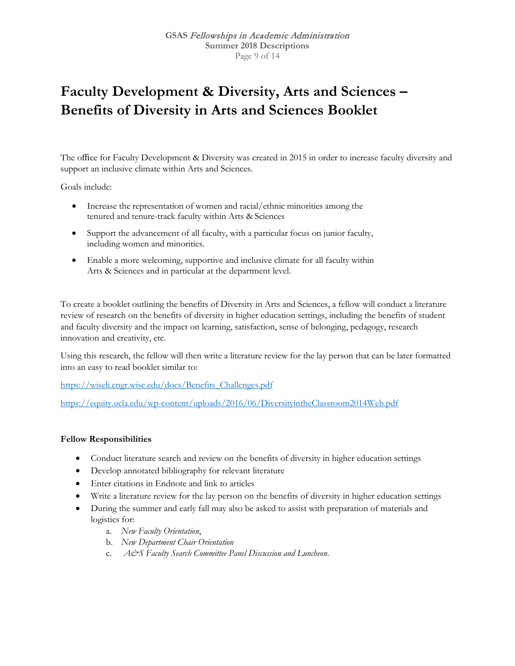## **Faculty Development & Diversity, Arts and Sciences – Benefits of Diversity in Arts and Sciences Booklet**

The office for Faculty Development & Diversity was created in 2015 in order to increase faculty diversity and support an inclusive climate within Arts and Sciences.

Goals include:

- Increase the representation of women and racial/ethnic minorities among the tenured and tenure-track faculty within Arts & Sciences
- Support the advancement of all faculty, with a particular focus on junior faculty, including women and minorities.
- Enable a more welcoming, supportive and inclusive climate for all faculty within Arts & Sciences and in particular at the department level.

To create a booklet outlining the benefits of Diversity in Arts and Sciences, a fellow will conduct a literature review of research on the benefits of diversity in higher education settings, including the benefits of student and faculty diversity and the impact on learning, satisfaction, sense of belonging, pedagogy, research innovation and creativity, etc.

Using this research, the fellow will then write a literature review for the lay person that can be later formatted into an easy to read booklet similar to:

[https://wiseli.engr.wisc.edu/docs/Benefits\\_Challenges.pdf](https://wiseli.engr.wisc.edu/docs/Benefits_Challenges.pdf)

<https://equity.ucla.edu/wp-content/uploads/2016/06/DiversityintheClassroom2014Web.pdf>

#### **Fellow Responsibilities**

- Conduct literature search and review on the benefits of diversity in higher education settings
- Develop annotated bibliography for relevant literature
- Enter citations in Endnote and link to articles
- Write a literature review for the lay person on the benefits of diversity in higher education settings
- During the summer and early fall may also be asked to assist with preparation of materials and logistics for:
	- a. *New Faculty Orientation*,
	- b. *New Department Chair Orientation*
	- c. *A&S Faculty Search Committee Panel Discussion and Luncheon*.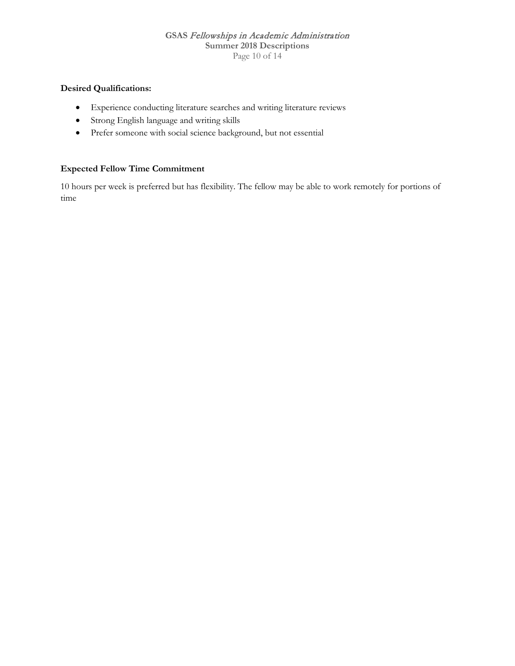#### **GSAS** Fellowships in Academic Administration **Summer 2018 Descriptions** Page 10 of 14

### **Desired Qualifications:**

- Experience conducting literature searches and writing literature reviews
- Strong English language and writing skills
- Prefer someone with social science background, but not essential

#### **Expected Fellow Time Commitment**

10 hours per week is preferred but has flexibility. The fellow may be able to work remotely for portions of time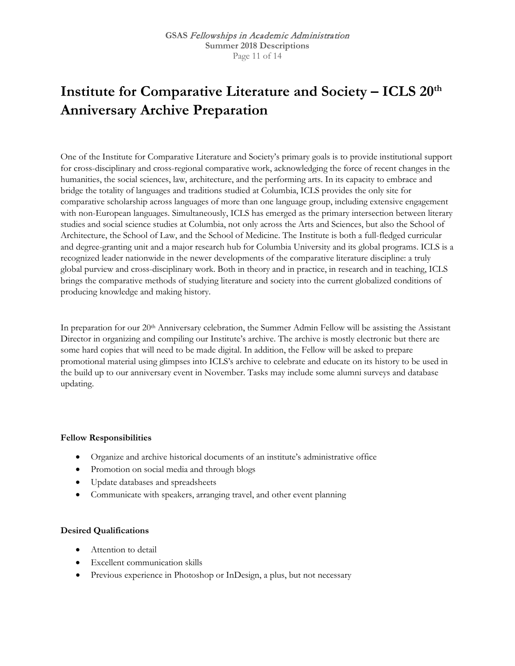## **Institute for Comparative Literature and Society – ICLS 20th Anniversary Archive Preparation**

One of the Institute for Comparative Literature and Society's primary goals is to provide institutional support for cross-disciplinary and cross-regional comparative work, acknowledging the force of recent changes in the humanities, the social sciences, law, architecture, and the performing arts. In its capacity to embrace and bridge the totality of languages and traditions studied at Columbia, ICLS provides the only site for comparative scholarship across languages of more than one language group, including extensive engagement with non-European languages. Simultaneously, ICLS has emerged as the primary intersection between literary studies and social science studies at Columbia, not only across the Arts and Sciences, but also the School of Architecture, the School of Law, and the School of Medicine. The Institute is both a full-fledged curricular and degree-granting unit and a major research hub for Columbia University and its global programs. ICLS is a recognized leader nationwide in the newer developments of the comparative literature discipline: a truly global purview and cross-disciplinary work. Both in theory and in practice, in research and in teaching, ICLS brings the comparative methods of studying literature and society into the current globalized conditions of producing knowledge and making history.

In preparation for our 20<sup>th</sup> Anniversary celebration, the Summer Admin Fellow will be assisting the Assistant Director in organizing and compiling our Institute's archive. The archive is mostly electronic but there are some hard copies that will need to be made digital. In addition, the Fellow will be asked to prepare promotional material using glimpses into ICLS's archive to celebrate and educate on its history to be used in the build up to our anniversary event in November. Tasks may include some alumni surveys and database updating.

#### **Fellow Responsibilities**

- Organize and archive historical documents of an institute's administrative office
- Promotion on social media and through blogs
- Update databases and spreadsheets
- Communicate with speakers, arranging travel, and other event planning

- Attention to detail
- **Excellent communication skills**
- Previous experience in Photoshop or InDesign, a plus, but not necessary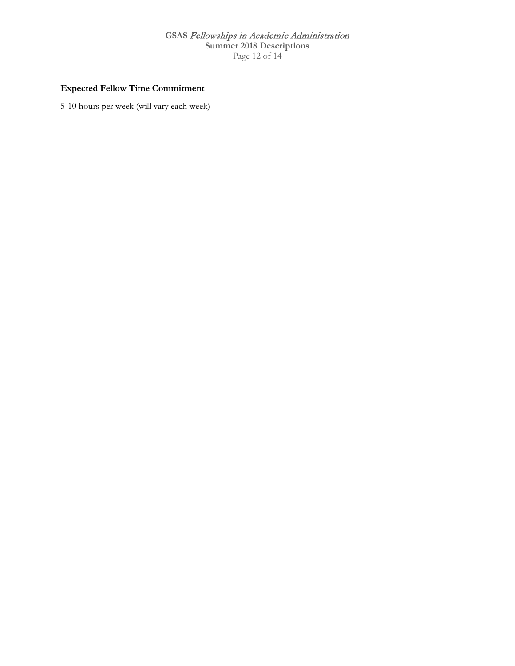### **GSAS** Fellowships in Academic Administration **Summer 2018 Descriptions** Page 12 of 14

### **Expected Fellow Time Commitment**

5-10 hours per week (will vary each week)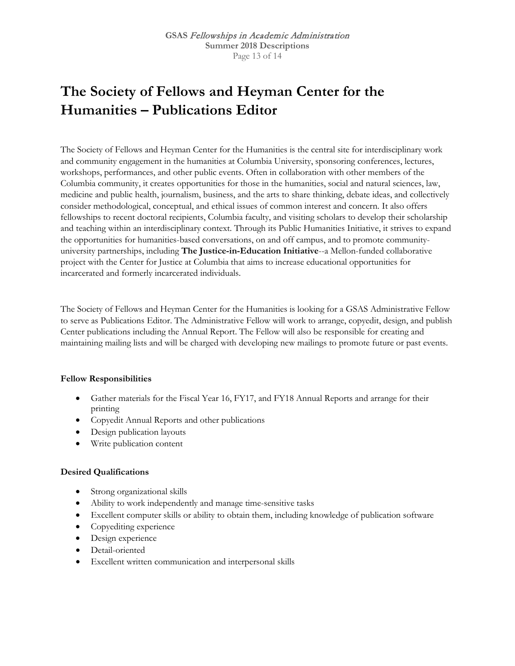# **The Society of Fellows and Heyman Center for the Humanities – Publications Editor**

The Society of Fellows and Heyman Center for the Humanities is the central site for interdisciplinary work and community engagement in the humanities at Columbia University, sponsoring conferences, lectures, workshops, performances, and other public events. Often in collaboration with other members of the Columbia community, it creates opportunities for those in the humanities, social and natural sciences, law, medicine and public health, journalism, business, and the arts to share thinking, debate ideas, and collectively consider methodological, conceptual, and ethical issues of common interest and concern. It also offers fellowships to recent doctoral recipients, Columbia faculty, and visiting scholars to develop their scholarship and teaching within an interdisciplinary context. Through its Public Humanities Initiative, it strives to expand the opportunities for humanities-based conversations, on and off campus, and to promote communityuniversity partnerships, including **The Justice-in-Education Initiative**--a Mellon-funded collaborative project with the Center for Justice at Columbia that aims to increase educational opportunities for incarcerated and formerly incarcerated individuals.

The Society of Fellows and Heyman Center for the Humanities is looking for a GSAS Administrative Fellow to serve as Publications Editor. The Administrative Fellow will work to arrange, copyedit, design, and publish Center publications including the Annual Report. The Fellow will also be responsible for creating and maintaining mailing lists and will be charged with developing new mailings to promote future or past events.

#### **Fellow Responsibilities**

- Gather materials for the Fiscal Year 16, FY17, and FY18 Annual Reports and arrange for their printing
- Copyedit Annual Reports and other publications
- Design publication layouts
- Write publication content

- Strong organizational skills
- Ability to work independently and manage time-sensitive tasks
- Excellent computer skills or ability to obtain them, including knowledge of publication software
- Copyediting experience
- Design experience
- Detail-oriented
- Excellent written communication and interpersonal skills